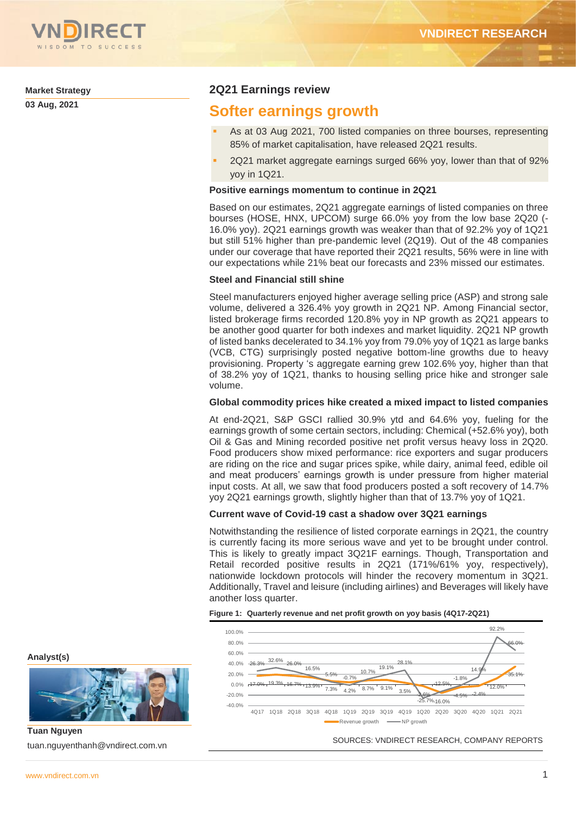

**Market Strategy**

**03 Aug, 2021** 

## **2Q21 Earnings review**

## **Softer earnings growth**

- As at 03 Aug 2021, 700 listed companies on three bourses, representing 85% of market capitalisation, have released 2Q21 results.
- 2Q21 market aggregate earnings surged 66% yoy, lower than that of 92% yoy in 1Q21.

## **Positive earnings momentum to continue in 2Q21**

Based on our estimates, 2Q21 aggregate earnings of listed companies on three bourses (HOSE, HNX, UPCOM) surge 66.0% yoy from the low base 2Q20 (- 16.0% yoy). 2Q21 earnings growth was weaker than that of 92.2% yoy of 1Q21 but still 51% higher than pre-pandemic level (2Q19). Out of the 48 companies under our coverage that have reported their 2Q21 results, 56% were in line with our expectations while 21% beat our forecasts and 23% missed our estimates.

## **Steel and Financial still shine**

Steel manufacturers enjoyed higher average selling price (ASP) and strong sale volume, delivered a 326.4% yoy growth in 2Q21 NP. Among Financial sector, listed brokerage firms recorded 120.8% yoy in NP growth as 2Q21 appears to be another good quarter for both indexes and market liquidity. 2Q21 NP growth of listed banks decelerated to 34.1% yoy from 79.0% yoy of 1Q21 as large banks (VCB, CTG) surprisingly posted negative bottom-line growths due to heavy provisioning. Property 's aggregate earning grew 102.6% yoy, higher than that of 38.2% yoy of 1Q21, thanks to housing selling price hike and stronger sale volume.

## **Global commodity prices hike created a mixed impact to listed companies**

At end-2Q21, S&P GSCI rallied 30.9% ytd and 64.6% yoy, fueling for the earnings growth of some certain sectors, including: Chemical (+52.6% yoy), both Oil & Gas and Mining recorded positive net profit versus heavy loss in 2Q20. Food producers show mixed performance: rice exporters and sugar producers are riding on the rice and sugar prices spike, while dairy, animal feed, edible oil and meat producers' earnings growth is under pressure from higher material input costs. At all, we saw that food producers posted a soft recovery of 14.7% yoy 2Q21 earnings growth, slightly higher than that of 13.7% yoy of 1Q21.

## **Current wave of Covid-19 cast a shadow over 3Q21 earnings**

Notwithstanding the resilience of listed corporate earnings in 2Q21, the country is currently facing its more serious wave and yet to be brought under control. This is likely to greatly impact 3Q21F earnings. Though, Transportation and Retail recorded positive results in 2Q21 (171%/61% yoy, respectively), nationwide lockdown protocols will hinder the recovery momentum in 3Q21. Additionally, Travel and leisure (including airlines) and Beverages will likely have another loss quarter.



**Figure 1: Quarterly revenue and net profit growth on yoy basis (4Q17-2Q21)**

**Analyst(s)**



**Tuan Nguyen** tuan.nguyenthanh@vndirect.com.vn

SOURCES: VNDIRECT RESEARCH, COMPANY REPORTS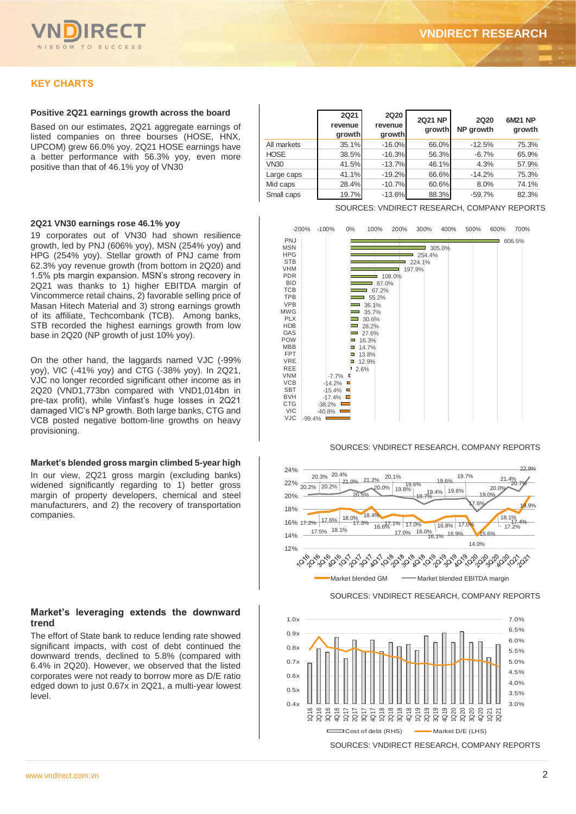

## **KEY CHARTS**

#### **Positive 2Q21 earnings growth across the board**

Based on our estimates, 2Q21 aggregate earnings of listed companies on three bourses (HOSE, HNX, UPCOM) grew 66.0% yoy. 2Q21 HOSE earnings have a better performance with 56.3% yoy, even more positive than that of 46.1% yoy of VN30

|             | <b>2Q21</b><br>revenue<br>growth | <b>2Q20</b><br>revenue<br>growth | <b>2Q21 NP</b><br>growth | <b>2Q20</b><br>NP growth | <b>6M21 NP</b><br>growth |
|-------------|----------------------------------|----------------------------------|--------------------------|--------------------------|--------------------------|
| All markets | 35.1%                            | $-16.0%$                         | 66.0%                    | $-12.5%$                 | 75.3%                    |
| <b>HOSE</b> | 38.5%                            | $-16.3%$                         | 56.3%                    | $-6.7%$                  | 65.9%                    |
| <b>VN30</b> | 41.5%                            | $-13.7%$                         | 46.1%                    | 4.3%                     | 57.9%                    |
| Large caps  | 41.1%                            | $-19.2%$                         | 66.6%                    | $-14.2%$                 | 75.3%                    |
| Mid caps    | 28.4%                            | $-10.7%$                         | 60.6%                    | 8.0%                     | 74.1%                    |
| Small caps  | 19.7%                            | $-13.6%$                         | 88.3%                    | $-59.7%$                 | 82.3%                    |

#### **2Q21 VN30 earnings rose 46.1% yoy**

19 corporates out of VN30 had shown resilience growth, led by PNJ (606% yoy), MSN (254% yoy) and HPG (254% yoy). Stellar growth of PNJ came from 62.3% yoy revenue growth (from bottom in 2Q20) and 1.5% pts margin expansion. MSN's strong recovery in 2Q21 was thanks to 1) higher EBITDA margin of Vincommerce retail chains, 2) favorable selling price of Masan Hitech Material and 3) strong earnings growth of its affiliate, Techcombank (TCB). Among banks, STB recorded the highest earnings growth from low base in 2Q20 (NP growth of just 10% yoy).

On the other hand, the laggards named VJC (-99% yoy), VIC (-41% yoy) and CTG (-38% yoy). In 2Q21, VJC no longer recorded significant other income as in 2Q20 (VND1,773bn compared with VND1,014bn in pre-tax profit), while Vinfast's huge losses in 2Q21 damaged VIC's NP growth. Both large banks, CTG and VCB posted negative bottom-line growths on heavy provisioning.

#### **Market's blended gross margin climbed 5-year high**

In our view, 2Q21 gross margin (excluding banks) widened significantly regarding to 1) better gross margin of property developers, chemical and steel manufacturers, and 2) the recovery of transportation companies.

## **Market's leveraging extends the downward trend**

The effort of State bank to reduce lending rate showed significant impacts, with cost of debt continued the downward trends, declined to 5.8% (compared with 6.4% in 2Q20). However, we observed that the listed corporates were not ready to borrow more as D/E ratio edged down to just 0.67x in 2Q21, a multi-year lowest level.

SOURCES: VNDIRECT RESEARCH, COMPANY REPORTS



#### SOURCES: VNDIRECT RESEARCH, COMPANY REPORTS



#### SOURCES: VNDIRECT RESEARCH, COMPANY REPORTS



[www.vndirect.com.vn](file:///C:/Users/hinh.dinh/AppData/Roaming/Microsoft/Word/www.vndirect.com.vn) 2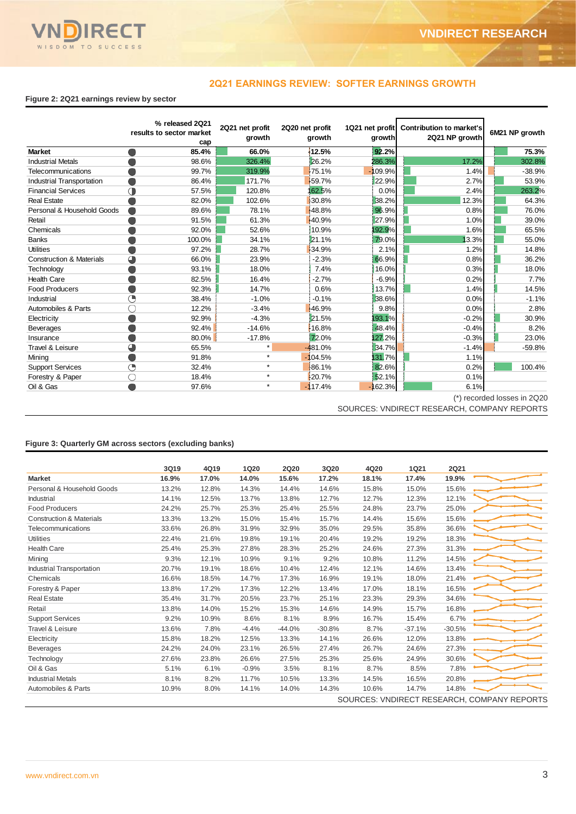

## **2Q21 EARNINGS REVIEW: SOFTER EARNINGS GROWTH**

#### **Figure 2: 2Q21 earnings review by sector**

|                                     | % released 2Q21<br>results to sector market<br>cap | 2Q21 net profit<br>growth | 2Q20 net profit<br>growth | 1Q21 net profit<br>growth | <b>Contribution to market's</b><br>2Q21 NP growth | 6M21 NP growth |
|-------------------------------------|----------------------------------------------------|---------------------------|---------------------------|---------------------------|---------------------------------------------------|----------------|
| <b>Market</b>                       | 85.4%                                              | 66.0%                     | 12.5%                     | 92.2%                     |                                                   | 75.3%          |
| <b>Industrial Metals</b>            | 98.6%                                              | 326.4%                    | 26.2%                     | 286.3%                    | 17.2%                                             | 302.8%         |
| Telecommunications                  | 99.7%                                              | 319.9%                    | 75.1%                     | 109.9%                    | 1.4%                                              | $-38.9%$       |
| Industrial Transportation           | 86.4%                                              | 171.7%                    | +59.7%                    | 22.9%                     | 2.7%                                              | 53.9%          |
| <b>Financial Services</b>           | 57.5%                                              | 120.8%                    | 62.5%                     | 0.0%                      | 2.4%                                              | 263.2%         |
| <b>Real Estate</b>                  | 82.0%                                              | 102.6%                    | 30.8%                     | 38.2%                     | 12.3%                                             | 64.3%          |
| Personal & Household Goods          | 89.6%                                              | 78.1%                     | 48.8%                     | 96.9%                     | 0.8%                                              | 76.0%          |
| Retail                              | 91.5%                                              | 61.3%                     | 40.9%                     | 27.9%                     | 1.0%                                              | 39.0%          |
| Chemicals                           | 92.0%                                              | 52.6%                     | 10.9%                     | 192.9%                    | 1.6%                                              | 65.5%          |
| <b>Banks</b>                        | 100.0%                                             | 34.1%                     | 21.1%                     | 79.0%                     | 13.3%                                             | 55.0%          |
| <b>Utilities</b>                    | 97.2%                                              | 28.7%                     | 34.9%                     | 2.1%                      | 1.2%                                              | 14.8%          |
| <b>Construction &amp; Materials</b> | 66.0%                                              | 23.9%                     | $-2.3%$                   | 66.9%                     | 0.8%                                              | 36.2%          |
| Technology                          | 93.1%                                              | 18.0%                     | 7.4%                      | 16.0%                     | 0.3%                                              | 18.0%          |
| <b>Health Care</b>                  | 82.5%                                              | 16.4%                     | $-2.7%$                   | $-6.9%$                   | 0.2%                                              | 7.7%           |
| <b>Food Producers</b>               | 92.3%                                              | 14.7%                     | 0.6%                      | 13.7%                     | 1.4%                                              | 14.5%          |
| Industrial                          | 38.4%                                              | $-1.0%$                   | $-0.1%$                   | 38.6%                     | 0.0%                                              | $-1.1%$        |
| Automobiles & Parts                 | 12.2%                                              | $-3.4%$                   | +46.9%                    | 9.8%                      | 0.0%                                              | 2.8%           |
| Electricity                         | 92.9%                                              | $-4.3%$                   | 21.5%                     | 193.1%                    | $-0.2%$                                           | 30.9%          |
| <b>Beverages</b>                    | 92.4%                                              | $-14.6%$                  | 16.8%                     | 48.4%                     | $-0.4%$                                           | 8.2%           |
| Insurance                           | 80.0%                                              | $-17.8%$                  | 72.0%                     | 127.2%                    | $-0.3%$                                           | 23.0%          |
| Travel & Leisure                    | 65.5%                                              |                           | $-481.0%$                 | 34.7%                     | $-1.4%$                                           | $-59.8%$       |
| Mining                              | 91.8%                                              | $\star$                   | $-104.5%$                 | 131.7%                    | 1.1%                                              |                |
| <b>Support Services</b>             | 32.4%                                              | $\star$                   | 86.1%                     | 82.6%                     | 0.2%                                              | 100.4%         |
| Forestry & Paper                    | 18.4%                                              | $\star$                   | $-20.7%$                  | 52.1%                     | 0.1%                                              |                |
| Oil & Gas                           | 97.6%                                              |                           | $-117.4%$                 | $-162.3%$                 | 6.1%                                              |                |

(\*) recorded losses in 2Q20

SOURCES: VNDIRECT RESEARCH, COMPANY REPORTS

## **Figure 3: Quarterly GM across sectors (excluding banks)**

|                                     | 3Q19  | 4Q19  | <b>1Q20</b> | <b>2Q20</b> | <b>3Q20</b> | 4Q20                                        | <b>1Q21</b> | <b>2Q21</b> |
|-------------------------------------|-------|-------|-------------|-------------|-------------|---------------------------------------------|-------------|-------------|
| <b>Market</b>                       | 16.9% | 17.0% | 14.0%       | 15.6%       | 17.2%       | 18.1%                                       | 17.4%       | 19.9%       |
| Personal & Household Goods          | 13.2% | 12.8% | 14.3%       | 14.4%       | 14.6%       | 15.8%                                       | 15.0%       | 15.6%       |
| Industrial                          | 14.1% | 12.5% | 13.7%       | 13.8%       | 12.7%       | 12.7%                                       | 12.3%       | 12.1%       |
| <b>Food Producers</b>               | 24.2% | 25.7% | 25.3%       | 25.4%       | 25.5%       | 24.8%                                       | 23.7%       | 25.0%       |
| <b>Construction &amp; Materials</b> | 13.3% | 13.2% | 15.0%       | 15.4%       | 15.7%       | 14.4%                                       | 15.6%       | 15.6%       |
| Telecommunications                  | 33.6% | 26.8% | 31.9%       | 32.9%       | 35.0%       | 29.5%                                       | 35.8%       | 36.6%       |
| Utilities                           | 22.4% | 21.6% | 19.8%       | 19.1%       | 20.4%       | 19.2%                                       | 19.2%       | 18.3%       |
| <b>Health Care</b>                  | 25.4% | 25.3% | 27.8%       | 28.3%       | 25.2%       | 24.6%                                       | 27.3%       | 31.3%       |
| Mining                              | 9.3%  | 12.1% | 10.9%       | 9.1%        | 9.2%        | 10.8%                                       | 11.2%       | 14.5%       |
| <b>Industrial Transportation</b>    | 20.7% | 19.1% | 18.6%       | 10.4%       | 12.4%       | 12.1%                                       | 14.6%       | 13.4%       |
| Chemicals                           | 16.6% | 18.5% | 14.7%       | 17.3%       | 16.9%       | 19.1%                                       | 18.0%       | 21.4%       |
| Forestry & Paper                    | 13.8% | 17.2% | 17.3%       | 12.2%       | 13.4%       | 17.0%                                       | 18.1%       | 16.5%       |
| <b>Real Estate</b>                  | 35.4% | 31.7% | 20.5%       | 23.7%       | 25.1%       | 23.3%                                       | 29.3%       | 34.6%       |
| Retail                              | 13.8% | 14.0% | 15.2%       | 15.3%       | 14.6%       | 14.9%                                       | 15.7%       | 16.8%       |
| <b>Support Services</b>             | 9.2%  | 10.9% | 8.6%        | 8.1%        | 8.9%        | 16.7%                                       | 15.4%       | 6.7%        |
| Travel & Leisure                    | 13.6% | 7.8%  | $-4.4%$     | $-44.0%$    | $-30.8%$    | 8.7%                                        | $-37.1%$    | $-30.5%$    |
| Electricity                         | 15.8% | 18.2% | 12.5%       | 13.3%       | 14.1%       | 26.6%                                       | 12.0%       | 13.8%       |
| <b>Beverages</b>                    | 24.2% | 24.0% | 23.1%       | 26.5%       | 27.4%       | 26.7%                                       | 24.6%       | 27.3%       |
| Technology                          | 27.6% | 23.8% | 26.6%       | 27.5%       | 25.3%       | 25.6%                                       | 24.9%       | 30.6%       |
| Oil & Gas                           | 5.1%  | 6.1%  | $-0.9%$     | 3.5%        | 8.1%        | 8.7%                                        | 8.5%        | 7.8%        |
| <b>Industrial Metals</b>            | 8.1%  | 8.2%  | 11.7%       | 10.5%       | 13.3%       | 14.5%                                       | 16.5%       | 20.8%       |
| Automobiles & Parts                 | 10.9% | 8.0%  | 14.1%       | 14.0%       | 14.3%       | 10.6%                                       | 14.7%       | 14.8%       |
|                                     |       |       |             |             |             | SOURCES: VNDIRECT RESEARCH, COMPANY REPORTS |             |             |